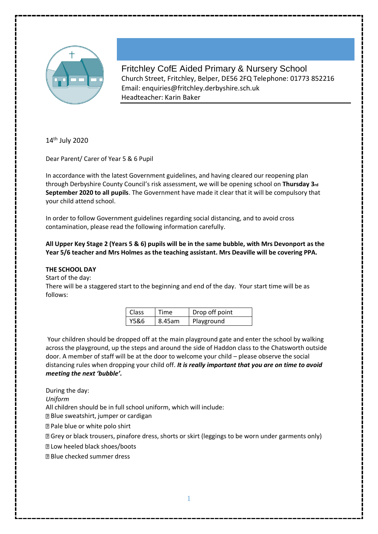

Fritchley CofE Aided Primary & Nursery School Church Street, Fritchley, Belper, DE56 2FQ Telephone: 01773 852216 Email: enquiries@fritchley.derbyshire.sch.uk Headteacher: Karin Baker

14<sup>th</sup> July 2020

Dear Parent/ Carer of Year 5 & 6 Pupil

In accordance with the latest Government guidelines, and having cleared our reopening plan through Derbyshire County Council's risk assessment, we will be opening school on **Thursday 3rd September 2020 to all pupils**. The Government have made it clear that it will be compulsory that your child attend school.

In order to follow Government guidelines regarding social distancing, and to avoid cross contamination, please read the following information carefully.

**All Upper Key Stage 2 (Years 5 & 6) pupils will be in the same bubble, with Mrs Devonport as the Year 5/6 teacher and Mrs Holmes as the teaching assistant. Mrs Deaville will be covering PPA.** 

# **THE SCHOOL DAY**

Start of the day:

There will be a staggered start to the beginning and end of the day. Your start time will be as follows:

| <b>Class</b> | Time   | Drop off point |
|--------------|--------|----------------|
| Y5&6         | 8.45am | Playground     |

Your children should be dropped off at the main playground gate and enter the school by walking across the playground, up the steps and around the side of Haddon class to the Chatsworth outside door. A member of staff will be at the door to welcome your child – please observe the social distancing rules when dropping your child off. *It is really important that you are on time to avoid meeting the next 'bubble'.* 

During the day:

*Uniform* 

All children should be in full school uniform, which will include:

Blue sweatshirt, jumper or cardigan

Pale blue or white polo shirt

Grey or black trousers, pinafore dress, shorts or skirt (leggings to be worn under garments only)

**Z Low heeled black shoes/boots** 

Blue checked summer dress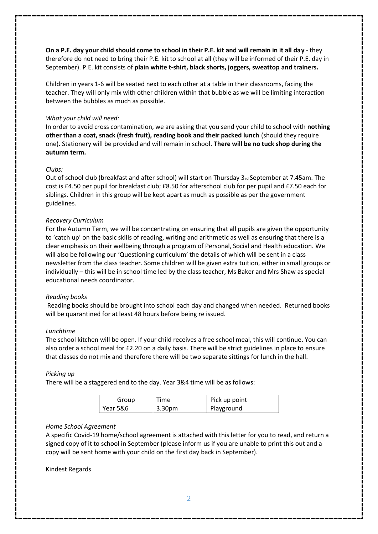**On a P.E. day your child should come to school in their P.E. kit and will remain in it all day** - they therefore do not need to bring their P.E. kit to school at all (they will be informed of their P.E. day in September). P.E. kit consists of **plain white t-shirt, black shorts, joggers, sweattop and trainers.** 

Children in years 1-6 will be seated next to each other at a table in their classrooms, facing the teacher. They will only mix with other children within that bubble as we will be limiting interaction between the bubbles as much as possible.

## *What your child will need:*

In order to avoid cross contamination, we are asking that you send your child to school with **nothing other than a coat, snack (fresh fruit), reading book and their packed lunch** (should they require one). Stationery will be provided and will remain in school. **There will be no tuck shop during the autumn term.** 

### *Clubs:*

Out of school club (breakfast and after school) will start on Thursday 3rd September at 7.45am. The cost is £4.50 per pupil for breakfast club; £8.50 for afterschool club for per pupil and £7.50 each for siblings. Children in this group will be kept apart as much as possible as per the government guidelines.

### *Recovery Curriculum*

For the Autumn Term, we will be concentrating on ensuring that all pupils are given the opportunity to 'catch up' on the basic skills of reading, writing and arithmetic as well as ensuring that there is a clear emphasis on their wellbeing through a program of Personal, Social and Health education. We will also be following our 'Questioning curriculum' the details of which will be sent in a class newsletter from the class teacher. Some children will be given extra tuition, either in small groups or individually – this will be in school time led by the class teacher, Ms Baker and Mrs Shaw as special educational needs coordinator.

### *Reading books*

Reading books should be brought into school each day and changed when needed. Returned books will be quarantined for at least 48 hours before being re issued.

#### *Lunchtime*

The school kitchen will be open. If your child receives a free school meal, this will continue. You can also order a school meal for £2.20 on a daily basis. There will be strict guidelines in place to ensure that classes do not mix and therefore there will be two separate sittings for lunch in the hall.

### *Picking up*

There will be a staggered end to the day. Year 3&4 time will be as follows:

| Group    | Time               | Pick up point |
|----------|--------------------|---------------|
| Year 5&6 | 3.30 <sub>pm</sub> | Playground    |

### *Home School Agreement*

A specific Covid-19 home/school agreement is attached with this letter for you to read, and return a signed copy of it to school in September (please inform us if you are unable to print this out and a copy will be sent home with your child on the first day back in September).

#### Kindest Regards